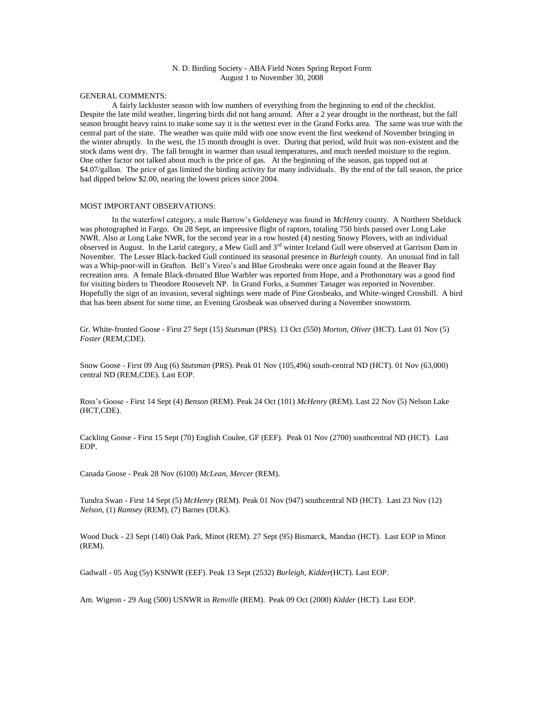## N. D. Birding Society - ABA Field Notes Spring Report Form August 1 to November 30, 2008

#### GENERAL COMMENTS:

A fairly lackluster season with low numbers of everything from the beginning to end of the checklist. Despite the late mild weather, lingering birds did not hang around. After a 2 year drought in the northeast, but the fall season brought heavy rains to make some say it is the wettest ever in the Grand Forks area. The same was true with the central part of the state. The weather was quite mild with one snow event the first weekend of November bringing in the winter abruptly. In the west, the 15 month drought is over. During that period, wild fruit was non-existent and the stock dams went dry. The fall brought in warmer than usual temperatures, and much needed moisture to the region. One other factor not talked about much is the price of gas. At the beginning of the season, gas topped out at \$4.07/gallon. The price of gas limited the birding activity for many individuals. By the end of the fall season, the price had dipped below \$2.00, nearing the lowest prices since 2004.

#### MOST IMPORTANT OBSERVATIONS:

In the waterfowl category, a male Barrow's Goldeneye was found in *McHenry* county. A Northern Shelduck was photographed in Fargo. On 28 Sept, an impressive flight of raptors, totaling 750 birds passed over Long Lake NWR. Also at Long Lake NWR, for the second year in a row hosted (4) nesting Snowy Plovers, with an individual observed in August. In the Larid category, a Mew Gull and 3<sup>rd</sup> winter Iceland Gull were observed at Garrison Dam in November. The Lesser Black-backed Gull continued its seasonal presence in *Burleigh* county. An unusual find in fall was a Whip-poor-will in Grafton. Bell's Vireo's and Blue Grosbeaks were once again found at the Beaver Bay recreation area. A female Black-throated Blue Warbler was reported from Hope, and a Prothonotary was a good find for visiting birders to Theodore Roosevelt NP. In Grand Forks, a Summer Tanager was reported in November. Hopefully the sign of an invasion, several sightings were made of Pine Grosbeaks, and White-winged Crossbill. A bird that has been absent for some time, an Evening Grosbeak was observed during a November snowstorm.

Gr. White-fronted Goose - First 27 Sept (15) *Stutsman* (PRS). 13 Oct (550) *Morton*, *Oliver* (HCT). Last 01 Nov (5) *Foster* (REM,CDE).

Snow Goose - First 09 Aug (6) *Stutsman* (PRS). Peak 01 Nov (105,496) south-central ND (HCT). 01 Nov (63,000) central ND (REM,CDE). Last EOP.

Ross's Goose - First 14 Sept (4) *Benson* (REM). Peak 24 Oct (101) *McHenry* (REM). Last 22 Nov (5) Nelson Lake (HCT,CDE).

Cackling Goose - First 15 Sept (70) English Coulee, GF (EEF). Peak 01 Nov (2700) southcentral ND (HCT). Last EOP.

Canada Goose - Peak 28 Nov (6100) *McLean*, *Mercer* (REM).

Tundra Swan - First 14 Sept (5) *McHenry* (REM). Peak 01 Nov (947) southcentral ND (HCT). Last 23 Nov (12) *Nelson*, (1) *Ramsey* (REM), (7) Barnes (DLK).

Wood Duck - 23 Sept (140) Oak Park, Minot (REM). 27 Sept (95) Bismarck, Mandan (HCT). Last EOP in Minot (REM).

Gadwall - 05 Aug (5y) KSNWR (EEF). Peak 13 Sept (2532) *Burleigh*, *Kidder*(HCT). Last EOP.

Am. Wigeon - 29 Aug (500) USNWR in *Renville* (REM). Peak 09 Oct (2000) *Kidder* (HCT). Last EOP.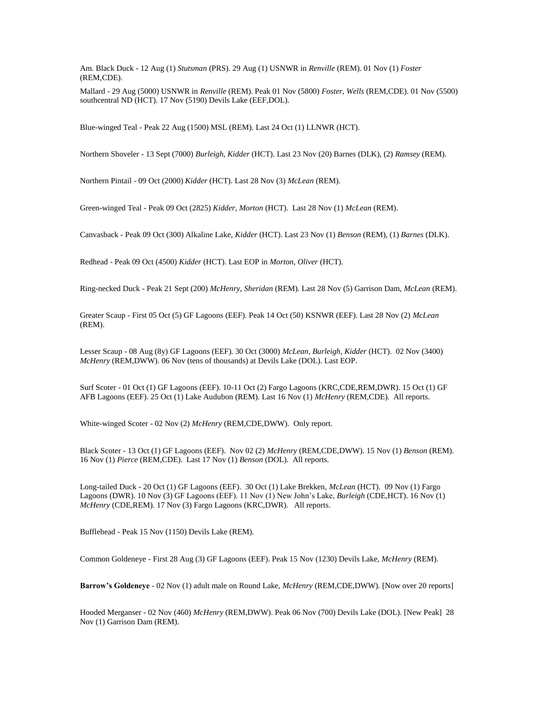Am. Black Duck - 12 Aug (1) *Stutsman* (PRS). 29 Aug (1) USNWR in *Renville* (REM). 01 Nov (1) *Foster* (REM,CDE).

Mallard - 29 Aug (5000) USNWR in *Renville* (REM). Peak 01 Nov (5800) *Foster*, *Wells* (REM,CDE). 01 Nov (5500) southcentral ND (HCT). 17 Nov (5190) Devils Lake (EEF, DOL).

Blue-winged Teal - Peak 22 Aug (1500) MSL (REM). Last 24 Oct (1) LLNWR (HCT).

Northern Shoveler - 13 Sept (7000) *Burleigh*, *Kidder* (HCT). Last 23 Nov (20) Barnes (DLK), (2) *Ramsey* (REM).

Northern Pintail - 09 Oct (2000) *Kidder* (HCT). Last 28 Nov (3) *McLean* (REM).

Green-winged Teal - Peak 09 Oct (2825) *Kidder*, *Morton* (HCT). Last 28 Nov (1) *McLean* (REM).

Canvasback - Peak 09 Oct (300) Alkaline Lake, *Kidder* (HCT). Last 23 Nov (1) *Benson* (REM), (1) *Barnes* (DLK).

Redhead - Peak 09 Oct (4500) *Kidder* (HCT). Last EOP in *Morton*, *Oliver* (HCT).

Ring-necked Duck - Peak 21 Sept (200) *McHenry*, *Sheridan* (REM). Last 28 Nov (5) Garrison Dam, *McLean* (REM).

Greater Scaup - First 05 Oct (5) GF Lagoons (EEF). Peak 14 Oct (50) KSNWR (EEF). Last 28 Nov (2) *McLean* (REM).

Lesser Scaup - 08 Aug (8y) GF Lagoons (EEF). 30 Oct (3000) *McLean*, *Burleigh*, *Kidder* (HCT). 02 Nov (3400) *McHenry* (REM,DWW). 06 Nov (tens of thousands) at Devils Lake (DOL). Last EOP.

Surf Scoter - 01 Oct (1) GF Lagoons (EEF). 10-11 Oct (2) Fargo Lagoons (KRC,CDE,REM,DWR). 15 Oct (1) GF AFB Lagoons (EEF). 25 Oct (1) Lake Audubon (REM). Last 16 Nov (1) *McHenry* (REM,CDE). All reports.

White-winged Scoter - 02 Nov (2) *McHenry* (REM,CDE,DWW). Only report.

Black Scoter - 13 Oct (1) GF Lagoons (EEF). Nov 02 (2) *McHenry* (REM,CDE,DWW). 15 Nov (1) *Benson* (REM). 16 Nov (1) *Pierce* (REM,CDE). Last 17 Nov (1) *Benson* (DOL). All reports.

Long-tailed Duck - 20 Oct (1) GF Lagoons (EEF). 30 Oct (1) Lake Brekken, *McLean* (HCT). 09 Nov (1) Fargo Lagoons (DWR). 10 Nov (3) GF Lagoons (EEF). 11 Nov (1) New John's Lake, *Burleigh* (CDE,HCT). 16 Nov (1) *McHenry* (CDE,REM). 17 Nov (3) Fargo Lagoons (KRC,DWR). All reports.

Bufflehead - Peak 15 Nov (1150) Devils Lake (REM).

Common Goldeneye - First 28 Aug (3) GF Lagoons (EEF). Peak 15 Nov (1230) Devils Lake, *McHenry* (REM).

**Barrow's Goldeneye** - 02 Nov (1) adult male on Round Lake, *McHenry* (REM,CDE,DWW). [Now over 20 reports]

Hooded Merganser - 02 Nov (460) *McHenry* (REM,DWW). Peak 06 Nov (700) Devils Lake (DOL). [New Peak] 28 Nov (1) Garrison Dam (REM).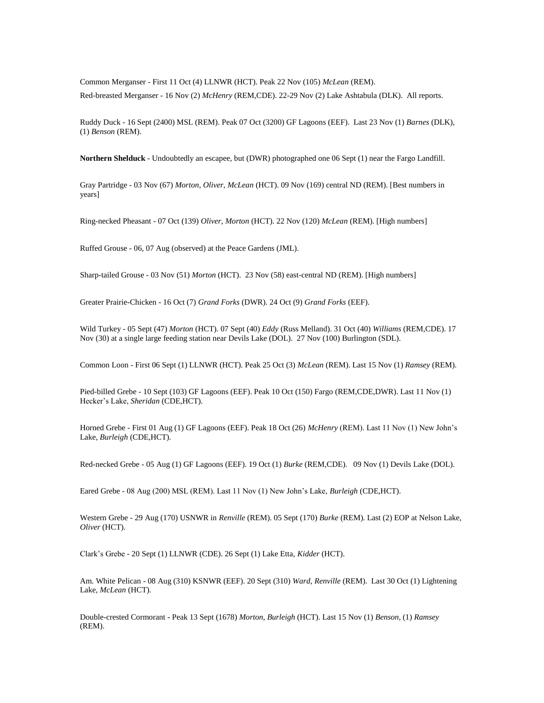Common Merganser - First 11 Oct (4) LLNWR (HCT). Peak 22 Nov (105) *McLean* (REM). Red-breasted Merganser - 16 Nov (2) *McHenry* (REM,CDE). 22-29 Nov (2) Lake Ashtabula (DLK). All reports.

Ruddy Duck - 16 Sept (2400) MSL (REM). Peak 07 Oct (3200) GF Lagoons (EEF). Last 23 Nov (1) *Barnes* (DLK), (1) *Benson* (REM).

**Northern Shelduck** - Undoubtedly an escapee, but (DWR) photographed one 06 Sept (1) near the Fargo Landfill.

Gray Partridge - 03 Nov (67) *Morton*, *Oliver*, *McLean* (HCT). 09 Nov (169) central ND (REM). [Best numbers in years]

Ring-necked Pheasant - 07 Oct (139) *Oliver*, *Morton* (HCT). 22 Nov (120) *McLean* (REM). [High numbers]

Ruffed Grouse - 06, 07 Aug (observed) at the Peace Gardens (JML).

Sharp-tailed Grouse - 03 Nov (51) *Morton* (HCT). 23 Nov (58) east-central ND (REM). [High numbers]

Greater Prairie-Chicken - 16 Oct (7) *Grand Forks* (DWR). 24 Oct (9) *Grand Forks* (EEF).

Wild Turkey - 05 Sept (47) *Morton* (HCT). 07 Sept (40) *Eddy* (Russ Melland). 31 Oct (40) *Williams* (REM,CDE). 17 Nov (30) at a single large feeding station near Devils Lake (DOL). 27 Nov (100) Burlington (SDL).

Common Loon - First 06 Sept (1) LLNWR (HCT). Peak 25 Oct (3) *McLean* (REM). Last 15 Nov (1) *Ramsey* (REM).

Pied-billed Grebe - 10 Sept (103) GF Lagoons (EEF). Peak 10 Oct (150) Fargo (REM,CDE,DWR). Last 11 Nov (1) Hecker's Lake, *Sheridan* (CDE,HCT).

Horned Grebe - First 01 Aug (1) GF Lagoons (EEF). Peak 18 Oct (26) *McHenry* (REM). Last 11 Nov (1) New John's Lake, *Burleigh* (CDE,HCT).

Red-necked Grebe - 05 Aug (1) GF Lagoons (EEF). 19 Oct (1) *Burke* (REM,CDE). 09 Nov (1) Devils Lake (DOL).

Eared Grebe - 08 Aug (200) MSL (REM). Last 11 Nov (1) New John's Lake, *Burleigh* (CDE,HCT).

Western Grebe - 29 Aug (170) USNWR in *Renville* (REM). 05 Sept (170) *Burke* (REM). Last (2) EOP at Nelson Lake, *Oliver* (HCT).

Clark's Grebe - 20 Sept (1) LLNWR (CDE). 26 Sept (1) Lake Etta, *Kidder* (HCT).

Am. White Pelican - 08 Aug (310) KSNWR (EEF). 20 Sept (310) *Ward*, *Renville* (REM). Last 30 Oct (1) Lightening Lake, *McLean* (HCT).

Double-crested Cormorant - Peak 13 Sept (1678) *Morton*, *Burleigh* (HCT). Last 15 Nov (1) *Benson*, (1) *Ramsey* (REM).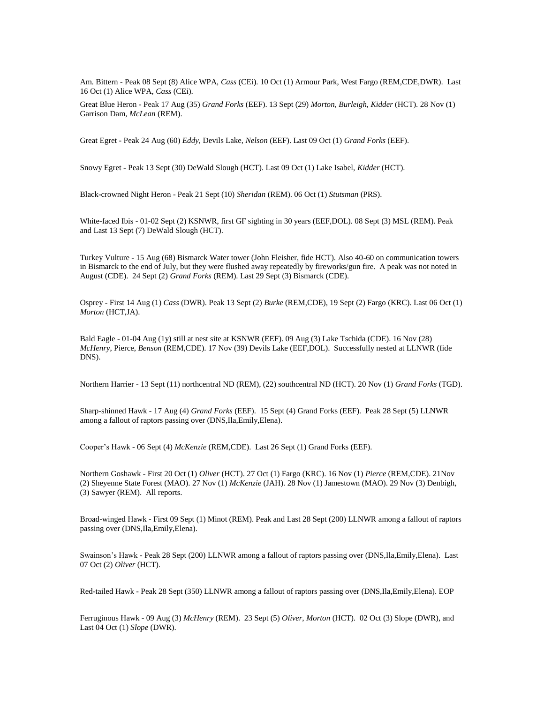Am. Bittern - Peak 08 Sept (8) Alice WPA, *Cass* (CEi). 10 Oct (1) Armour Park, West Fargo (REM,CDE,DWR). Last 16 Oct (1) Alice WPA, *Cass* (CEi).

Great Blue Heron - Peak 17 Aug (35) *Grand Forks* (EEF). 13 Sept (29) *Morton*, *Burleigh*, *Kidder* (HCT). 28 Nov (1) Garrison Dam, *McLean* (REM).

Great Egret - Peak 24 Aug (60) *Eddy*, Devils Lake, *Nelson* (EEF). Last 09 Oct (1) *Grand Forks* (EEF).

Snowy Egret - Peak 13 Sept (30) DeWald Slough (HCT). Last 09 Oct (1) Lake Isabel, *Kidder* (HCT).

Black-crowned Night Heron - Peak 21 Sept (10) *Sheridan* (REM). 06 Oct (1) *Stutsman* (PRS).

White-faced Ibis - 01-02 Sept (2) KSNWR, first GF sighting in 30 years (EEF,DOL). 08 Sept (3) MSL (REM). Peak and Last 13 Sept (7) DeWald Slough (HCT).

Turkey Vulture - 15 Aug (68) Bismarck Water tower (John Fleisher, fide HCT). Also 40-60 on communication towers in Bismarck to the end of July, but they were flushed away repeatedly by fireworks/gun fire. A peak was not noted in August (CDE). 24 Sept (2) *Grand Forks* (REM). Last 29 Sept (3) Bismarck (CDE).

Osprey - First 14 Aug (1) *Cass* (DWR). Peak 13 Sept (2) *Burke* (REM,CDE), 19 Sept (2) Fargo (KRC). Last 06 Oct (1) *Morton* (HCT,JA).

Bald Eagle - 01-04 Aug (1y) still at nest site at KSNWR (EEF). 09 Aug (3) Lake Tschida (CDE). 16 Nov (28) *McHenry*, Pierce, *Benson* (REM,CDE). 17 Nov (39) Devils Lake (EEF,DOL). Successfully nested at LLNWR (fide DNS).

Northern Harrier - 13 Sept (11) northcentral ND (REM), (22) southcentral ND (HCT). 20 Nov (1) *Grand Forks* (TGD).

Sharp-shinned Hawk - 17 Aug (4) *Grand Forks* (EEF). 15 Sept (4) Grand Forks (EEF). Peak 28 Sept (5) LLNWR among a fallout of raptors passing over (DNS,Ila,Emily,Elena).

Cooper's Hawk - 06 Sept (4) *McKenzie* (REM,CDE). Last 26 Sept (1) Grand Forks (EEF).

Northern Goshawk - First 20 Oct (1) *Oliver* (HCT). 27 Oct (1) Fargo (KRC). 16 Nov (1) *Pierce* (REM,CDE). 21Nov (2) Sheyenne State Forest (MAO). 27 Nov (1) *McKenzie* (JAH). 28 Nov (1) Jamestown (MAO). 29 Nov (3) Denbigh, (3) Sawyer (REM). All reports.

Broad-winged Hawk - First 09 Sept (1) Minot (REM). Peak and Last 28 Sept (200) LLNWR among a fallout of raptors passing over (DNS,Ila,Emily,Elena).

Swainson's Hawk - Peak 28 Sept (200) LLNWR among a fallout of raptors passing over (DNS,Ila,Emily,Elena). Last 07 Oct (2) *Oliver* (HCT).

Red-tailed Hawk - Peak 28 Sept (350) LLNWR among a fallout of raptors passing over (DNS,Ila,Emily,Elena). EOP

Ferruginous Hawk - 09 Aug (3) *McHenry* (REM). 23 Sept (5) *Oliver*, *Morton* (HCT). 02 Oct (3) Slope (DWR), and Last 04 Oct (1) *Slope* (DWR).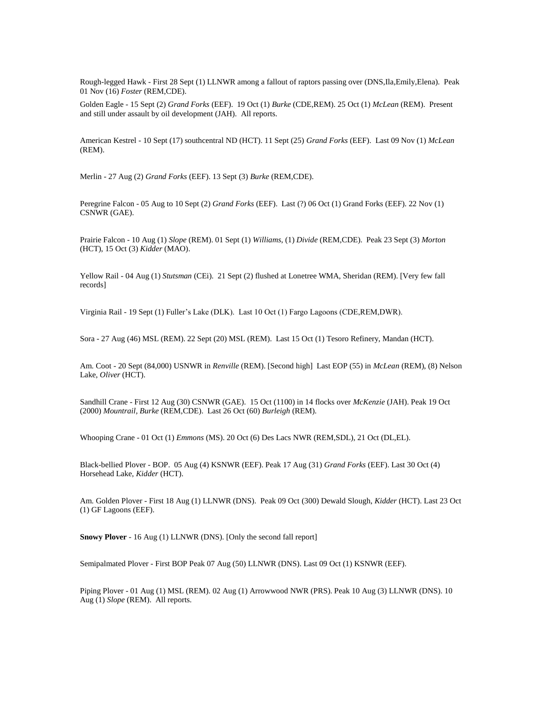Rough-legged Hawk - First 28 Sept (1) LLNWR among a fallout of raptors passing over (DNS,Ila,Emily,Elena). Peak 01 Nov (16) *Foster* (REM,CDE).

Golden Eagle - 15 Sept (2) *Grand Forks* (EEF). 19 Oct (1) *Burke* (CDE,REM). 25 Oct (1) *McLean* (REM). Present and still under assault by oil development (JAH). All reports.

American Kestrel - 10 Sept (17) southcentral ND (HCT). 11 Sept (25) *Grand Forks* (EEF). Last 09 Nov (1) *McLean* (REM).

Merlin - 27 Aug (2) *Grand Forks* (EEF). 13 Sept (3) *Burke* (REM,CDE).

Peregrine Falcon - 05 Aug to 10 Sept (2) *Grand Forks* (EEF). Last (?) 06 Oct (1) Grand Forks (EEF). 22 Nov (1) CSNWR (GAE).

Prairie Falcon - 10 Aug (1) *Slope* (REM). 01 Sept (1) *Williams*, (1) *Divide* (REM,CDE). Peak 23 Sept (3) *Morton* (HCT), 15 Oct (3) *Kidder* (MAO).

Yellow Rail - 04 Aug (1) *Stutsman* (CEi). 21 Sept (2) flushed at Lonetree WMA, Sheridan (REM). [Very few fall records]

Virginia Rail - 19 Sept (1) Fuller's Lake (DLK). Last 10 Oct (1) Fargo Lagoons (CDE,REM,DWR).

Sora - 27 Aug (46) MSL (REM). 22 Sept (20) MSL (REM). Last 15 Oct (1) Tesoro Refinery, Mandan (HCT).

Am. Coot - 20 Sept (84,000) USNWR in *Renville* (REM). [Second high] Last EOP (55) in *McLean* (REM), (8) Nelson Lake, *Oliver* (HCT).

Sandhill Crane - First 12 Aug (30) CSNWR (GAE). 15 Oct (1100) in 14 flocks over *McKenzie* (JAH). Peak 19 Oct (2000) *Mountrail, Burke* (REM,CDE). Last 26 Oct (60) *Burleigh* (REM).

Whooping Crane - 01 Oct (1) *Emmons* (MS). 20 Oct (6) Des Lacs NWR (REM,SDL), 21 Oct (DL,EL).

Black-bellied Plover - BOP. 05 Aug (4) KSNWR (EEF). Peak 17 Aug (31) *Grand Forks* (EEF). Last 30 Oct (4) Horsehead Lake, *Kidder* (HCT).

Am. Golden Plover - First 18 Aug (1) LLNWR (DNS). Peak 09 Oct (300) Dewald Slough, *Kidder* (HCT). Last 23 Oct (1) GF Lagoons (EEF).

**Snowy Plover** - 16 Aug (1) LLNWR (DNS). [Only the second fall report]

Semipalmated Plover - First BOP Peak 07 Aug (50) LLNWR (DNS). Last 09 Oct (1) KSNWR (EEF).

Piping Plover - 01 Aug (1) MSL (REM). 02 Aug (1) Arrowwood NWR (PRS). Peak 10 Aug (3) LLNWR (DNS). 10 Aug (1) *Slope* (REM). All reports.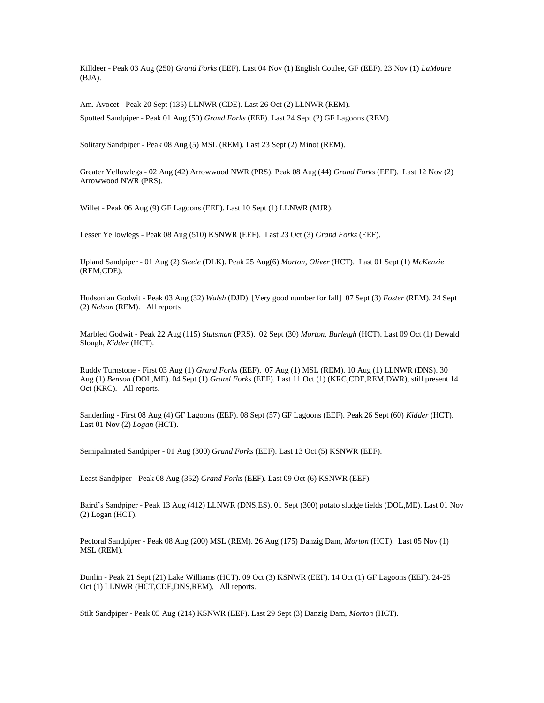Killdeer - Peak 03 Aug (250) *Grand Forks* (EEF). Last 04 Nov (1) English Coulee, GF (EEF). 23 Nov (1) *LaMoure* (BJA).

Am. Avocet - Peak 20 Sept (135) LLNWR (CDE). Last 26 Oct (2) LLNWR (REM). Spotted Sandpiper - Peak 01 Aug (50) *Grand Forks* (EEF). Last 24 Sept (2) GF Lagoons (REM).

Solitary Sandpiper - Peak 08 Aug (5) MSL (REM). Last 23 Sept (2) Minot (REM).

Greater Yellowlegs - 02 Aug (42) Arrowwood NWR (PRS). Peak 08 Aug (44) *Grand Forks* (EEF). Last 12 Nov (2) Arrowwood NWR (PRS).

Willet - Peak 06 Aug (9) GF Lagoons (EEF). Last 10 Sept (1) LLNWR (MJR).

Lesser Yellowlegs - Peak 08 Aug (510) KSNWR (EEF). Last 23 Oct (3) *Grand Forks* (EEF).

Upland Sandpiper - 01 Aug (2) *Steele* (DLK). Peak 25 Aug(6) *Morton*, *Oliver* (HCT). Last 01 Sept (1) *McKenzie* (REM,CDE).

Hudsonian Godwit - Peak 03 Aug (32) *Walsh* (DJD). [Very good number for fall] 07 Sept (3) *Foster* (REM). 24 Sept (2) *Nelson* (REM). All reports

Marbled Godwit - Peak 22 Aug (115) *Stutsman* (PRS). 02 Sept (30) *Morton*, *Burleigh* (HCT). Last 09 Oct (1) Dewald Slough, *Kidder* (HCT).

Ruddy Turnstone - First 03 Aug (1) *Grand Forks* (EEF). 07 Aug (1) MSL (REM). 10 Aug (1) LLNWR (DNS). 30 Aug (1) *Benson* (DOL,ME). 04 Sept (1) *Grand Forks* (EEF). Last 11 Oct (1) (KRC,CDE,REM,DWR), still present 14 Oct (KRC). All reports.

Sanderling - First 08 Aug (4) GF Lagoons (EEF). 08 Sept (57) GF Lagoons (EEF). Peak 26 Sept (60) *Kidder* (HCT). Last 01 Nov (2) *Logan* (HCT).

Semipalmated Sandpiper - 01 Aug (300) *Grand Forks* (EEF). Last 13 Oct (5) KSNWR (EEF).

Least Sandpiper - Peak 08 Aug (352) *Grand Forks* (EEF). Last 09 Oct (6) KSNWR (EEF).

Baird's Sandpiper - Peak 13 Aug (412) LLNWR (DNS,ES). 01 Sept (300) potato sludge fields (DOL,ME). Last 01 Nov (2) Logan (HCT).

Pectoral Sandpiper - Peak 08 Aug (200) MSL (REM). 26 Aug (175) Danzig Dam, *Morton* (HCT). Last 05 Nov (1) MSL (REM).

Dunlin - Peak 21 Sept (21) Lake Williams (HCT). 09 Oct (3) KSNWR (EEF). 14 Oct (1) GF Lagoons (EEF). 24-25 Oct (1) LLNWR (HCT,CDE,DNS,REM). All reports.

Stilt Sandpiper - Peak 05 Aug (214) KSNWR (EEF). Last 29 Sept (3) Danzig Dam, *Morton* (HCT).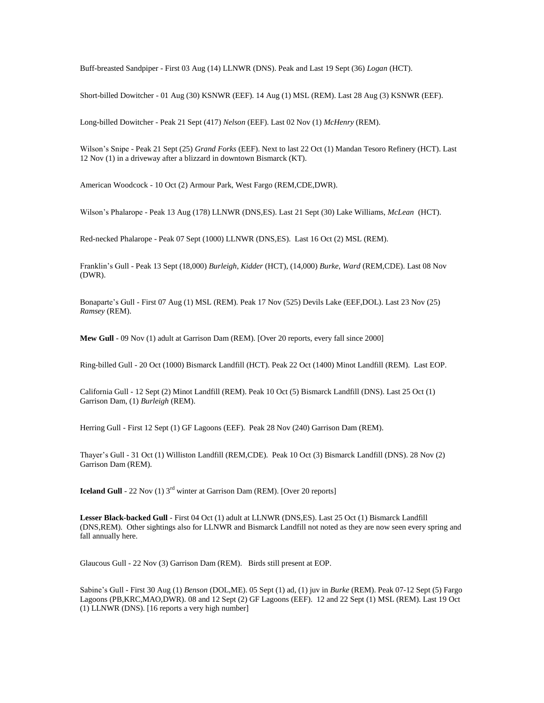Buff-breasted Sandpiper - First 03 Aug (14) LLNWR (DNS). Peak and Last 19 Sept (36) *Logan* (HCT).

Short-billed Dowitcher - 01 Aug (30) KSNWR (EEF). 14 Aug (1) MSL (REM). Last 28 Aug (3) KSNWR (EEF).

Long-billed Dowitcher - Peak 21 Sept (417) *Nelson* (EEF). Last 02 Nov (1) *McHenry* (REM).

Wilson's Snipe - Peak 21 Sept (25) *Grand Forks* (EEF). Next to last 22 Oct (1) Mandan Tesoro Refinery (HCT). Last 12 Nov (1) in a driveway after a blizzard in downtown Bismarck (KT).

American Woodcock - 10 Oct (2) Armour Park, West Fargo (REM,CDE,DWR).

Wilson's Phalarope - Peak 13 Aug (178) LLNWR (DNS,ES). Last 21 Sept (30) Lake Williams, *McLean* (HCT).

Red-necked Phalarope - Peak 07 Sept (1000) LLNWR (DNS,ES). Last 16 Oct (2) MSL (REM).

Franklin's Gull - Peak 13 Sept (18,000) *Burleigh*, *Kidder* (HCT), (14,000) *Burke*, *Ward* (REM,CDE). Last 08 Nov (DWR).

Bonaparte's Gull - First 07 Aug (1) MSL (REM). Peak 17 Nov (525) Devils Lake (EEF,DOL). Last 23 Nov (25) *Ramsey* (REM).

**Mew Gull** - 09 Nov (1) adult at Garrison Dam (REM). [Over 20 reports, every fall since 2000]

Ring-billed Gull - 20 Oct (1000) Bismarck Landfill (HCT). Peak 22 Oct (1400) Minot Landfill (REM). Last EOP.

California Gull - 12 Sept (2) Minot Landfill (REM). Peak 10 Oct (5) Bismarck Landfill (DNS). Last 25 Oct (1) Garrison Dam, (1) *Burleigh* (REM).

Herring Gull - First 12 Sept (1) GF Lagoons (EEF). Peak 28 Nov (240) Garrison Dam (REM).

Thayer's Gull - 31 Oct (1) Williston Landfill (REM,CDE). Peak 10 Oct (3) Bismarck Landfill (DNS). 28 Nov (2) Garrison Dam (REM).

**Iceland Gull** - 22 Nov (1) 3<sup>rd</sup> winter at Garrison Dam (REM). [Over 20 reports]

**Lesser Black-backed Gull** - First 04 Oct (1) adult at LLNWR (DNS,ES). Last 25 Oct (1) Bismarck Landfill (DNS,REM). Other sightings also for LLNWR and Bismarck Landfill not noted as they are now seen every spring and fall annually here.

Glaucous Gull - 22 Nov (3) Garrison Dam (REM). Birds still present at EOP.

Sabine's Gull - First 30 Aug (1) *Benson* (DOL,ME). 05 Sept (1) ad, (1) juv in *Burke* (REM). Peak 07-12 Sept (5) Fargo Lagoons (PB,KRC,MAO,DWR). 08 and 12 Sept (2) GF Lagoons (EEF). 12 and 22 Sept (1) MSL (REM). Last 19 Oct (1) LLNWR (DNS). [16 reports a very high number]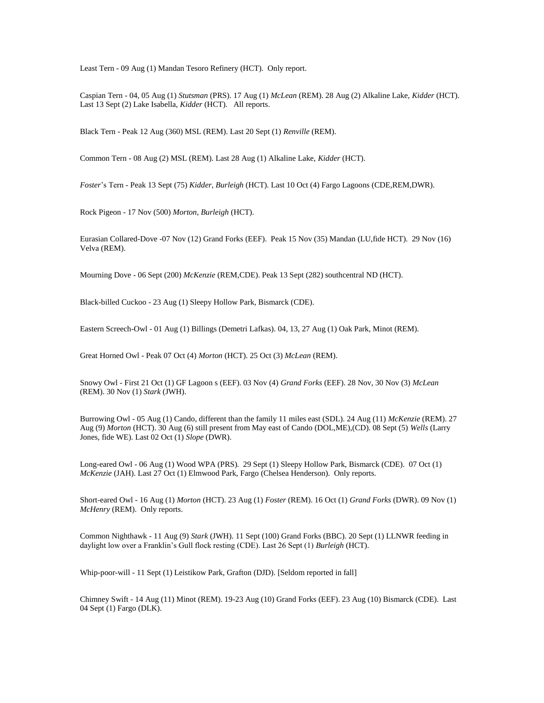Least Tern - 09 Aug (1) Mandan Tesoro Refinery (HCT). Only report.

Caspian Tern - 04, 05 Aug (1) *Stutsman* (PRS). 17 Aug (1) *McLean* (REM). 28 Aug (2) Alkaline Lake, *Kidder* (HCT). Last 13 Sept (2) Lake Isabella, *Kidder* (HCT). All reports.

Black Tern - Peak 12 Aug (360) MSL (REM). Last 20 Sept (1) *Renville* (REM).

Common Tern - 08 Aug (2) MSL (REM). Last 28 Aug (1) Alkaline Lake, *Kidder* (HCT).

*Foster*'s Tern - Peak 13 Sept (75) *Kidder*, *Burleigh* (HCT). Last 10 Oct (4) Fargo Lagoons (CDE,REM,DWR).

Rock Pigeon - 17 Nov (500) *Morton*, *Burleigh* (HCT).

Eurasian Collared-Dove -07 Nov (12) Grand Forks (EEF). Peak 15 Nov (35) Mandan (LU,fide HCT). 29 Nov (16) Velva (REM).

Mourning Dove - 06 Sept (200) *McKenzie* (REM,CDE). Peak 13 Sept (282) southcentral ND (HCT).

Black-billed Cuckoo - 23 Aug (1) Sleepy Hollow Park, Bismarck (CDE).

Eastern Screech-Owl - 01 Aug (1) Billings (Demetri Lafkas). 04, 13, 27 Aug (1) Oak Park, Minot (REM).

Great Horned Owl - Peak 07 Oct (4) *Morton* (HCT). 25 Oct (3) *McLean* (REM).

Snowy Owl - First 21 Oct (1) GF Lagoon s (EEF). 03 Nov (4) *Grand Forks* (EEF). 28 Nov, 30 Nov (3) *McLean* (REM). 30 Nov (1) *Stark* (JWH).

Burrowing Owl - 05 Aug (1) Cando, different than the family 11 miles east (SDL). 24 Aug (11) *McKenzie* (REM). 27 Aug (9) *Morton* (HCT). 30 Aug (6) still present from May east of Cando (DOL,ME),(CD). 08 Sept (5) *Wells* (Larry Jones, fide WE). Last 02 Oct (1) *Slope* (DWR).

Long-eared Owl - 06 Aug (1) Wood WPA (PRS). 29 Sept (1) Sleepy Hollow Park, Bismarck (CDE). 07 Oct (1) *McKenzie* (JAH). Last 27 Oct (1) Elmwood Park, Fargo (Chelsea Henderson). Only reports.

Short-eared Owl - 16 Aug (1) *Morton* (HCT). 23 Aug (1) *Foster* (REM). 16 Oct (1) *Grand Forks* (DWR). 09 Nov (1) *McHenry* (REM). Only reports.

Common Nighthawk - 11 Aug (9) *Stark* (JWH). 11 Sept (100) Grand Forks (BBC). 20 Sept (1) LLNWR feeding in daylight low over a Franklin's Gull flock resting (CDE). Last 26 Sept (1) *Burleigh* (HCT).

Whip-poor-will - 11 Sept (1) Leistikow Park, Grafton (DJD). [Seldom reported in fall]

Chimney Swift - 14 Aug (11) Minot (REM). 19-23 Aug (10) Grand Forks (EEF). 23 Aug (10) Bismarck (CDE). Last 04 Sept (1) Fargo (DLK).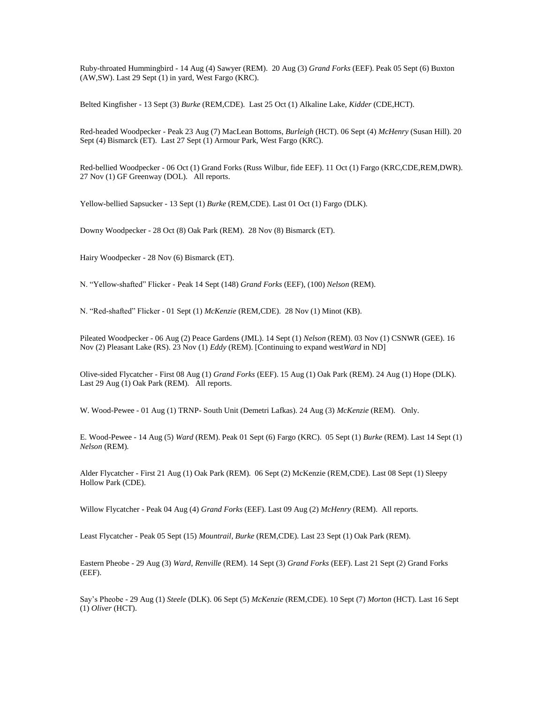Ruby-throated Hummingbird - 14 Aug (4) Sawyer (REM). 20 Aug (3) *Grand Forks* (EEF). Peak 05 Sept (6) Buxton (AW,SW). Last 29 Sept (1) in yard, West Fargo (KRC).

Belted Kingfisher - 13 Sept (3) *Burke* (REM,CDE). Last 25 Oct (1) Alkaline Lake, *Kidder* (CDE,HCT).

Red-headed Woodpecker - Peak 23 Aug (7) MacLean Bottoms, *Burleigh* (HCT). 06 Sept (4) *McHenry* (Susan Hill). 20 Sept (4) Bismarck (ET). Last 27 Sept (1) Armour Park, West Fargo (KRC).

Red-bellied Woodpecker - 06 Oct (1) Grand Forks (Russ Wilbur, fide EEF). 11 Oct (1) Fargo (KRC,CDE,REM,DWR). 27 Nov (1) GF Greenway (DOL). All reports.

Yellow-bellied Sapsucker - 13 Sept (1) *Burke* (REM,CDE). Last 01 Oct (1) Fargo (DLK).

Downy Woodpecker - 28 Oct (8) Oak Park (REM). 28 Nov (8) Bismarck (ET).

Hairy Woodpecker - 28 Nov (6) Bismarck (ET).

N. "Yellow-shafted" Flicker - Peak 14 Sept (148) *Grand Forks* (EEF), (100) *Nelson* (REM).

N. "Red-shafted" Flicker - 01 Sept (1) *McKenzie* (REM,CDE). 28 Nov (1) Minot (KB).

Pileated Woodpecker - 06 Aug (2) Peace Gardens (JML). 14 Sept (1) *Nelson* (REM). 03 Nov (1) CSNWR (GEE). 16 Nov (2) Pleasant Lake (RS). 23 Nov (1) *Eddy* (REM). [Continuing to expand west*Ward* in ND]

Olive-sided Flycatcher - First 08 Aug (1) *Grand Forks* (EEF). 15 Aug (1) Oak Park (REM). 24 Aug (1) Hope (DLK). Last 29 Aug (1) Oak Park (REM). All reports.

W. Wood-Pewee - 01 Aug (1) TRNP- South Unit (Demetri Lafkas). 24 Aug (3) *McKenzie* (REM). Only.

E. Wood-Pewee - 14 Aug (5) *Ward* (REM). Peak 01 Sept (6) Fargo (KRC). 05 Sept (1) *Burke* (REM). Last 14 Sept (1) *Nelson* (REM).

Alder Flycatcher - First 21 Aug (1) Oak Park (REM). 06 Sept (2) McKenzie (REM,CDE). Last 08 Sept (1) Sleepy Hollow Park (CDE).

Willow Flycatcher - Peak 04 Aug (4) *Grand Forks* (EEF). Last 09 Aug (2) *McHenry* (REM). All reports.

Least Flycatcher - Peak 05 Sept (15) *Mountrail, Burke* (REM,CDE). Last 23 Sept (1) Oak Park (REM).

Eastern Pheobe - 29 Aug (3) *Ward*, *Renville* (REM). 14 Sept (3) *Grand Forks* (EEF). Last 21 Sept (2) Grand Forks (EEF).

Say's Pheobe - 29 Aug (1) *Steele* (DLK). 06 Sept (5) *McKenzie* (REM,CDE). 10 Sept (7) *Morton* (HCT). Last 16 Sept (1) *Oliver* (HCT).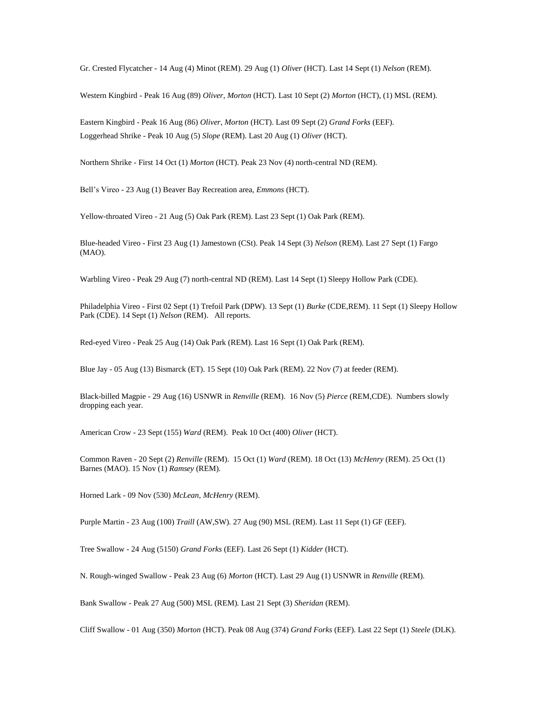Gr. Crested Flycatcher - 14 Aug (4) Minot (REM). 29 Aug (1) *Oliver* (HCT). Last 14 Sept (1) *Nelson* (REM).

Western Kingbird - Peak 16 Aug (89) *Oliver*, *Morton* (HCT). Last 10 Sept (2) *Morton* (HCT), (1) MSL (REM).

Eastern Kingbird - Peak 16 Aug (86) *Oliver*, *Morton* (HCT). Last 09 Sept (2) *Grand Forks* (EEF). Loggerhead Shrike - Peak 10 Aug (5) *Slope* (REM). Last 20 Aug (1) *Oliver* (HCT).

Northern Shrike - First 14 Oct (1) *Morton* (HCT). Peak 23 Nov (4) north-central ND (REM).

Bell's Vireo - 23 Aug (1) Beaver Bay Recreation area, *Emmons* (HCT).

Yellow-throated Vireo - 21 Aug (5) Oak Park (REM). Last 23 Sept (1) Oak Park (REM).

Blue-headed Vireo - First 23 Aug (1) Jamestown (CSt). Peak 14 Sept (3) *Nelson* (REM). Last 27 Sept (1) Fargo (MAO).

Warbling Vireo - Peak 29 Aug (7) north-central ND (REM). Last 14 Sept (1) Sleepy Hollow Park (CDE).

Philadelphia Vireo - First 02 Sept (1) Trefoil Park (DPW). 13 Sept (1) *Burke* (CDE,REM). 11 Sept (1) Sleepy Hollow Park (CDE). 14 Sept (1) *Nelson* (REM). All reports.

Red-eyed Vireo - Peak 25 Aug (14) Oak Park (REM). Last 16 Sept (1) Oak Park (REM).

Blue Jay - 05 Aug (13) Bismarck (ET). 15 Sept (10) Oak Park (REM). 22 Nov (7) at feeder (REM).

Black-billed Magpie - 29 Aug (16) USNWR in *Renville* (REM). 16 Nov (5) *Pierce* (REM,CDE). Numbers slowly dropping each year.

American Crow - 23 Sept (155) *Ward* (REM). Peak 10 Oct (400) *Oliver* (HCT).

Common Raven - 20 Sept (2) *Renville* (REM). 15 Oct (1) *Ward* (REM). 18 Oct (13) *McHenry* (REM). 25 Oct (1) Barnes (MAO). 15 Nov (1) *Ramsey* (REM).

Horned Lark - 09 Nov (530) *McLean*, *McHenry* (REM).

Purple Martin - 23 Aug (100) *Traill* (AW,SW). 27 Aug (90) MSL (REM). Last 11 Sept (1) GF (EEF).

Tree Swallow - 24 Aug (5150) *Grand Forks* (EEF). Last 26 Sept (1) *Kidder* (HCT).

N. Rough-winged Swallow - Peak 23 Aug (6) *Morton* (HCT). Last 29 Aug (1) USNWR in *Renville* (REM).

Bank Swallow - Peak 27 Aug (500) MSL (REM). Last 21 Sept (3) *Sheridan* (REM).

Cliff Swallow - 01 Aug (350) *Morton* (HCT). Peak 08 Aug (374) *Grand Forks* (EEF). Last 22 Sept (1) *Steele* (DLK).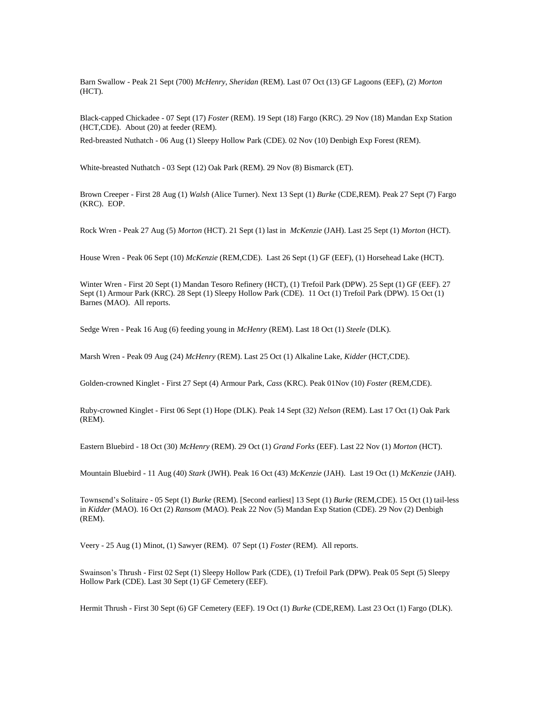Barn Swallow - Peak 21 Sept (700) *McHenry*, *Sheridan* (REM). Last 07 Oct (13) GF Lagoons (EEF), (2) *Morton* (HCT).

Black-capped Chickadee - 07 Sept (17) *Foster* (REM). 19 Sept (18) Fargo (KRC). 29 Nov (18) Mandan Exp Station (HCT,CDE). About (20) at feeder (REM).

Red-breasted Nuthatch - 06 Aug (1) Sleepy Hollow Park (CDE). 02 Nov (10) Denbigh Exp Forest (REM).

White-breasted Nuthatch - 03 Sept (12) Oak Park (REM). 29 Nov (8) Bismarck (ET).

Brown Creeper - First 28 Aug (1) *Walsh* (Alice Turner). Next 13 Sept (1) *Burke* (CDE,REM). Peak 27 Sept (7) Fargo (KRC). EOP.

Rock Wren - Peak 27 Aug (5) *Morton* (HCT). 21 Sept (1) last in *McKenzie* (JAH). Last 25 Sept (1) *Morton* (HCT).

House Wren - Peak 06 Sept (10) *McKenzie* (REM,CDE). Last 26 Sept (1) GF (EEF), (1) Horsehead Lake (HCT).

Winter Wren - First 20 Sept (1) Mandan Tesoro Refinery (HCT), (1) Trefoil Park (DPW). 25 Sept (1) GF (EEF). 27 Sept (1) Armour Park (KRC). 28 Sept (1) Sleepy Hollow Park (CDE). 11 Oct (1) Trefoil Park (DPW). 15 Oct (1) Barnes (MAO). All reports.

Sedge Wren - Peak 16 Aug (6) feeding young in *McHenry* (REM). Last 18 Oct (1) *Steele* (DLK).

Marsh Wren - Peak 09 Aug (24) *McHenry* (REM). Last 25 Oct (1) Alkaline Lake, *Kidder* (HCT,CDE).

Golden-crowned Kinglet - First 27 Sept (4) Armour Park, *Cass* (KRC). Peak 01Nov (10) *Foster* (REM,CDE).

Ruby-crowned Kinglet - First 06 Sept (1) Hope (DLK). Peak 14 Sept (32) *Nelson* (REM). Last 17 Oct (1) Oak Park (REM).

Eastern Bluebird - 18 Oct (30) *McHenry* (REM). 29 Oct (1) *Grand Forks* (EEF). Last 22 Nov (1) *Morton* (HCT).

Mountain Bluebird - 11 Aug (40) *Stark* (JWH). Peak 16 Oct (43) *McKenzie* (JAH). Last 19 Oct (1) *McKenzie* (JAH).

Townsend's Solitaire - 05 Sept (1) *Burke* (REM). [Second earliest] 13 Sept (1) *Burke* (REM,CDE). 15 Oct (1) tail-less in *Kidder* (MAO). 16 Oct (2) *Ransom* (MAO). Peak 22 Nov (5) Mandan Exp Station (CDE). 29 Nov (2) Denbigh (REM).

Veery - 25 Aug (1) Minot, (1) Sawyer (REM). 07 Sept (1) *Foster* (REM). All reports.

Swainson's Thrush - First 02 Sept (1) Sleepy Hollow Park (CDE), (1) Trefoil Park (DPW). Peak 05 Sept (5) Sleepy Hollow Park (CDE). Last 30 Sept (1) GF Cemetery (EEF).

Hermit Thrush - First 30 Sept (6) GF Cemetery (EEF). 19 Oct (1) *Burke* (CDE,REM). Last 23 Oct (1) Fargo (DLK).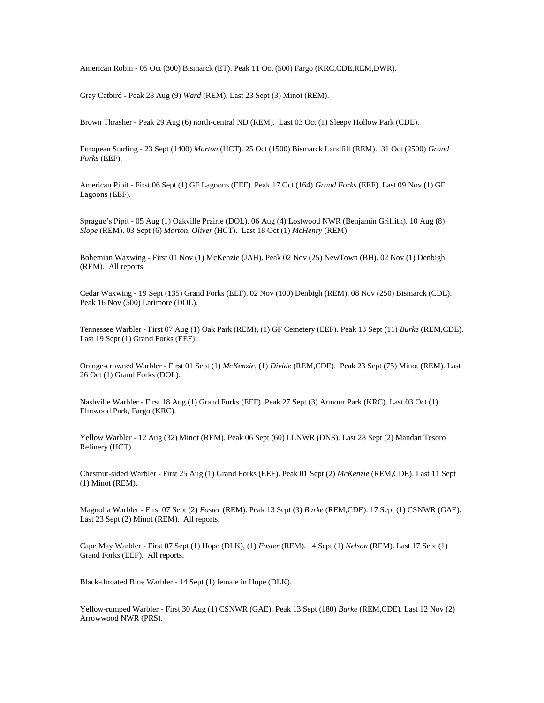American Robin - 05 Oct (300) Bismarck (ET). Peak 11 Oct (500) Fargo (KRC,CDE,REM,DWR).

Gray Catbird - Peak 28 Aug (9) *Ward* (REM). Last 23 Sept (3) Minot (REM).

Brown Thrasher - Peak 29 Aug (6) north-central ND (REM). Last 03 Oct (1) Sleepy Hollow Park (CDE).

European Starling - 23 Sept (1400) *Morton* (HCT). 25 Oct (1500) Bismarck Landfill (REM). 31 Oct (2500) *Grand Forks* (EEF).

American Pipit - First 06 Sept (1) GF Lagoons (EEF). Peak 17 Oct (164) *Grand Forks* (EEF). Last 09 Nov (1) GF Lagoons (EEF).

Sprague's Pipit - 05 Aug (1) Oakville Prairie (DOL). 06 Aug (4) Lostwood NWR (Benjamin Griffith). 10 Aug (8) *Slope* (REM). 03 Sept (6) *Morton*, *Oliver* (HCT). Last 18 Oct (1) *McHenry* (REM).

Bohemian Waxwing - First 01 Nov (1) McKenzie (JAH). Peak 02 Nov (25) NewTown (BH). 02 Nov (1) Denbigh (REM). All reports.

Cedar Waxwing - 19 Sept (135) Grand Forks (EEF). 02 Nov (100) Denbigh (REM). 08 Nov (250) Bismarck (CDE). Peak 16 Nov (500) Larimore (DOL).

Tennessee Warbler - First 07 Aug (1) Oak Park (REM), (1) GF Cemetery (EEF). Peak 13 Sept (11) *Burke* (REM,CDE). Last 19 Sept (1) Grand Forks (EEF).

Orange-crowned Warbler - First 01 Sept (1) *McKenzie,* (1) *Divide* (REM,CDE). Peak 23 Sept (75) Minot (REM). Last 26 Oct (1) Grand Forks (DOL).

Nashville Warbler - First 18 Aug (1) Grand Forks (EEF). Peak 27 Sept (3) Armour Park (KRC). Last 03 Oct (1) Elmwood Park, Fargo (KRC).

Yellow Warbler - 12 Aug (32) Minot (REM). Peak 06 Sept (60) LLNWR (DNS). Last 28 Sept (2) Mandan Tesoro Refinery (HCT).

Chestnut-sided Warbler - First 25 Aug (1) Grand Forks (EEF). Peak 01 Sept (2) *McKenzie* (REM,CDE). Last 11 Sept (1) Minot (REM).

Magnolia Warbler - First 07 Sept (2) *Foster* (REM). Peak 13 Sept (3) *Burke* (REM,CDE). 17 Sept (1) CSNWR (GAE). Last 23 Sept (2) Minot (REM). All reports.

Cape May Warbler - First 07 Sept (1) Hope (DLK), (1) *Foster* (REM). 14 Sept (1) *Nelson* (REM). Last 17 Sept (1) Grand Forks (EEF). All reports.

Black-throated Blue Warbler - 14 Sept (1) female in Hope (DLK).

Yellow-rumped Warbler - First 30 Aug (1) CSNWR (GAE). Peak 13 Sept (180) *Burke* (REM,CDE). Last 12 Nov (2) Arrowwood NWR (PRS).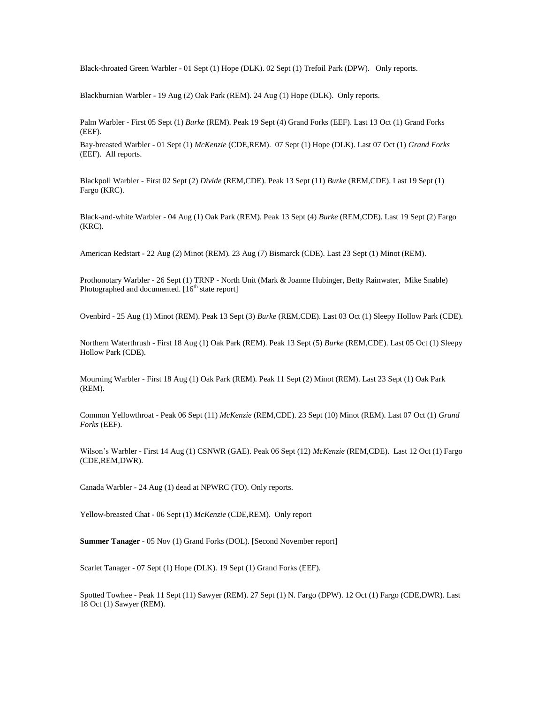Black-throated Green Warbler - 01 Sept (1) Hope (DLK). 02 Sept (1) Trefoil Park (DPW). Only reports.

Blackburnian Warbler - 19 Aug (2) Oak Park (REM). 24 Aug (1) Hope (DLK). Only reports.

Palm Warbler - First 05 Sept (1) *Burke* (REM). Peak 19 Sept (4) Grand Forks (EEF). Last 13 Oct (1) Grand Forks (EEF).

Bay-breasted Warbler - 01 Sept (1) *McKenzie* (CDE,REM). 07 Sept (1) Hope (DLK). Last 07 Oct (1) *Grand Forks* (EEF). All reports.

Blackpoll Warbler - First 02 Sept (2) *Divide* (REM,CDE). Peak 13 Sept (11) *Burke* (REM,CDE). Last 19 Sept (1) Fargo (KRC).

Black-and-white Warbler - 04 Aug (1) Oak Park (REM). Peak 13 Sept (4) *Burke* (REM,CDE). Last 19 Sept (2) Fargo (KRC).

American Redstart - 22 Aug (2) Minot (REM). 23 Aug (7) Bismarck (CDE). Last 23 Sept (1) Minot (REM).

Prothonotary Warbler - 26 Sept (1) TRNP - North Unit (Mark & Joanne Hubinger, Betty Rainwater, Mike Snable) Photographed and documented.  $[16^{th}$  state report]

Ovenbird - 25 Aug (1) Minot (REM). Peak 13 Sept (3) *Burke* (REM,CDE). Last 03 Oct (1) Sleepy Hollow Park (CDE).

Northern Waterthrush - First 18 Aug (1) Oak Park (REM). Peak 13 Sept (5) *Burke* (REM,CDE). Last 05 Oct (1) Sleepy Hollow Park (CDE).

Mourning Warbler - First 18 Aug (1) Oak Park (REM). Peak 11 Sept (2) Minot (REM). Last 23 Sept (1) Oak Park (REM).

Common Yellowthroat - Peak 06 Sept (11) *McKenzie* (REM,CDE). 23 Sept (10) Minot (REM). Last 07 Oct (1) *Grand Forks* (EEF).

Wilson's Warbler - First 14 Aug (1) CSNWR (GAE). Peak 06 Sept (12) *McKenzie* (REM,CDE). Last 12 Oct (1) Fargo (CDE,REM,DWR).

Canada Warbler - 24 Aug (1) dead at NPWRC (TO). Only reports.

Yellow-breasted Chat - 06 Sept (1) *McKenzie* (CDE,REM). Only report

**Summer Tanager** - 05 Nov (1) Grand Forks (DOL). [Second November report]

Scarlet Tanager - 07 Sept (1) Hope (DLK). 19 Sept (1) Grand Forks (EEF).

Spotted Towhee - Peak 11 Sept (11) Sawyer (REM). 27 Sept (1) N. Fargo (DPW). 12 Oct (1) Fargo (CDE,DWR). Last 18 Oct (1) Sawyer (REM).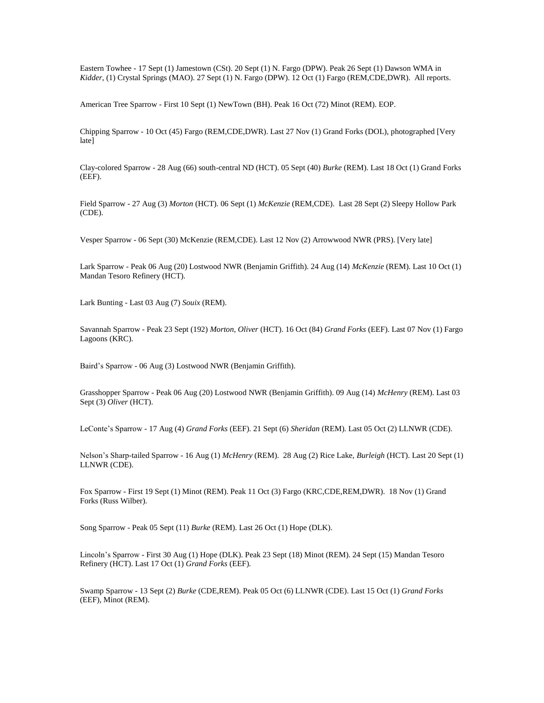Eastern Towhee - 17 Sept (1) Jamestown (CSt). 20 Sept (1) N. Fargo (DPW). Peak 26 Sept (1) Dawson WMA in *Kidder*, (1) Crystal Springs (MAO). 27 Sept (1) N. Fargo (DPW). 12 Oct (1) Fargo (REM,CDE,DWR). All reports.

American Tree Sparrow - First 10 Sept (1) NewTown (BH). Peak 16 Oct (72) Minot (REM). EOP.

Chipping Sparrow - 10 Oct (45) Fargo (REM,CDE,DWR). Last 27 Nov (1) Grand Forks (DOL), photographed [Very late]

Clay-colored Sparrow - 28 Aug (66) south-central ND (HCT). 05 Sept (40) *Burke* (REM). Last 18 Oct (1) Grand Forks (EEF).

Field Sparrow - 27 Aug (3) *Morton* (HCT). 06 Sept (1) *McKenzie* (REM,CDE). Last 28 Sept (2) Sleepy Hollow Park (CDE).

Vesper Sparrow - 06 Sept (30) McKenzie (REM,CDE). Last 12 Nov (2) Arrowwood NWR (PRS). [Very late]

Lark Sparrow - Peak 06 Aug (20) Lostwood NWR (Benjamin Griffith). 24 Aug (14) *McKenzie* (REM). Last 10 Oct (1) Mandan Tesoro Refinery (HCT).

Lark Bunting - Last 03 Aug (7) *Souix* (REM).

Savannah Sparrow - Peak 23 Sept (192) *Morton*, *Oliver* (HCT). 16 Oct (84) *Grand Forks* (EEF). Last 07 Nov (1) Fargo Lagoons (KRC).

Baird's Sparrow - 06 Aug (3) Lostwood NWR (Benjamin Griffith).

Grasshopper Sparrow - Peak 06 Aug (20) Lostwood NWR (Benjamin Griffith). 09 Aug (14) *McHenry* (REM). Last 03 Sept (3) *Oliver* (HCT).

LeConte's Sparrow - 17 Aug (4) *Grand Forks* (EEF). 21 Sept (6) *Sheridan* (REM). Last 05 Oct (2) LLNWR (CDE).

Nelson's Sharp-tailed Sparrow - 16 Aug (1) *McHenry* (REM). 28 Aug (2) Rice Lake, *Burleigh* (HCT). Last 20 Sept (1) LLNWR (CDE).

Fox Sparrow - First 19 Sept (1) Minot (REM). Peak 11 Oct (3) Fargo (KRC,CDE,REM,DWR). 18 Nov (1) Grand Forks (Russ Wilber).

Song Sparrow - Peak 05 Sept (11) *Burke* (REM). Last 26 Oct (1) Hope (DLK).

Lincoln's Sparrow - First 30 Aug (1) Hope (DLK). Peak 23 Sept (18) Minot (REM). 24 Sept (15) Mandan Tesoro Refinery (HCT). Last 17 Oct (1) *Grand Forks* (EEF).

Swamp Sparrow - 13 Sept (2) *Burke* (CDE,REM). Peak 05 Oct (6) LLNWR (CDE). Last 15 Oct (1) *Grand Forks* (EEF), Minot (REM).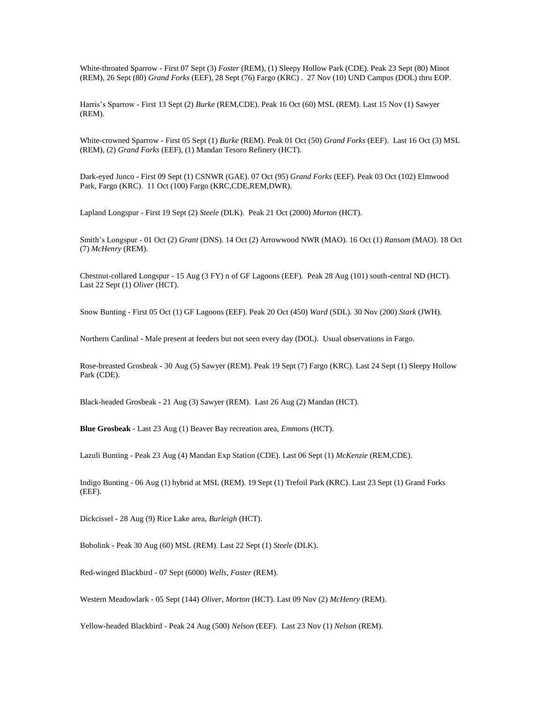White-throated Sparrow - First 07 Sept (3) *Foster* (REM), (1) Sleepy Hollow Park (CDE). Peak 23 Sept (80) Minot (REM), 26 Sept (80) *Grand Forks* (EEF), 28 Sept (76) Fargo (KRC) . 27 Nov (10) UND Campus (DOL) thru EOP.

Harris's Sparrow - First 13 Sept (2) *Burke* (REM,CDE). Peak 16 Oct (60) MSL (REM). Last 15 Nov (1) Sawyer (REM).

White-crowned Sparrow - First 05 Sept (1) *Burke* (REM). Peak 01 Oct (50) *Grand Forks* (EEF). Last 16 Oct (3) MSL (REM), (2) *Grand Forks* (EEF), (1) Mandan Tesoro Refinery (HCT).

Dark-eyed Junco - First 09 Sept (1) CSNWR (GAE). 07 Oct (95) *Grand Forks* (EEF). Peak 03 Oct (102) Elmwood Park, Fargo (KRC). 11 Oct (100) Fargo (KRC,CDE,REM,DWR).

Lapland Longspur - First 19 Sept (2) *Steele* (DLK). Peak 21 Oct (2000) *Morton* (HCT).

Smith's Longspur - 01 Oct (2) *Grant* (DNS). 14 Oct (2) Arrowwood NWR (MAO). 16 Oct (1) *Ransom* (MAO). 18 Oct (7) *McHenry* (REM).

Chestnut-collared Longspur - 15 Aug (3 FY) n of GF Lagoons (EEF). Peak 28 Aug (101) south-central ND (HCT). Last 22 Sept (1) *Oliver* (HCT).

Snow Bunting - First 05 Oct (1) GF Lagoons (EEF). Peak 20 Oct (450) *Ward* (SDL). 30 Nov (200) *Stark* (JWH).

Northern Cardinal - Male present at feeders but not seen every day (DOL). Usual observations in Fargo.

Rose-breasted Grosbeak - 30 Aug (5) Sawyer (REM). Peak 19 Sept (7) Fargo (KRC). Last 24 Sept (1) Sleepy Hollow Park (CDE).

Black-headed Grosbeak - 21 Aug (3) Sawyer (REM). Last 26 Aug (2) Mandan (HCT).

**Blue Grosbeak** - Last 23 Aug (1) Beaver Bay recreation area, *Emmons* (HCT).

Lazuli Bunting - Peak 23 Aug (4) Mandan Exp Station (CDE). Last 06 Sept (1) *McKenzie* (REM,CDE).

Indigo Bunting - 06 Aug (1) hybrid at MSL (REM). 19 Sept (1) Trefoil Park (KRC). Last 23 Sept (1) Grand Forks (EEF).

Dickcissel - 28 Aug (9) Rice Lake area, *Burleigh* (HCT).

Bobolink - Peak 30 Aug (60) MSL (REM). Last 22 Sept (1) *Steele* (DLK).

Red-winged Blackbird - 07 Sept (6000) *Wells*, *Foster* (REM).

Western Meadowlark - 05 Sept (144) *Oliver*, *Morton* (HCT). Last 09 Nov (2) *McHenry* (REM).

Yellow-headed Blackbird - Peak 24 Aug (500) *Nelson* (EEF). Last 23 Nov (1) *Nelson* (REM).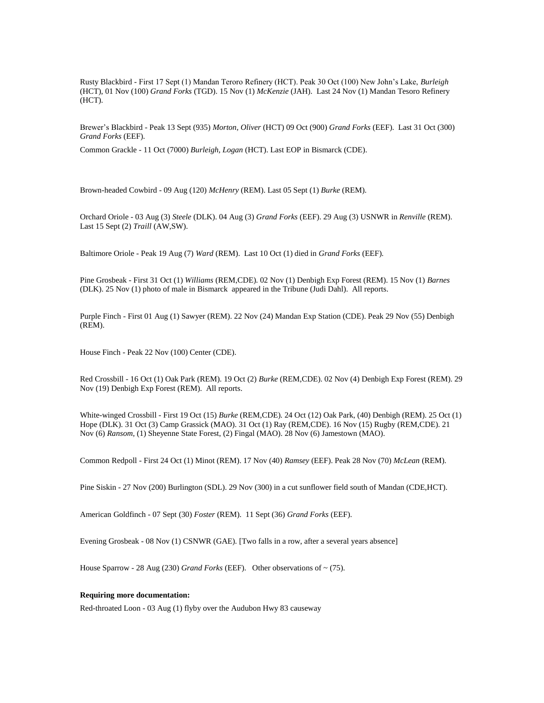Rusty Blackbird - First 17 Sept (1) Mandan Teroro Refinery (HCT). Peak 30 Oct (100) New John's Lake, *Burleigh* (HCT), 01 Nov (100) *Grand Forks* (TGD). 15 Nov (1) *McKenzie* (JAH). Last 24 Nov (1) Mandan Tesoro Refinery (HCT).

Brewer's Blackbird - Peak 13 Sept (935) *Morton*, *Oliver* (HCT) 09 Oct (900) *Grand Forks* (EEF). Last 31 Oct (300) *Grand Forks* (EEF).

Common Grackle - 11 Oct (7000) *Burleigh, Logan* (HCT). Last EOP in Bismarck (CDE).

Brown-headed Cowbird - 09 Aug (120) *McHenry* (REM). Last 05 Sept (1) *Burke* (REM).

Orchard Oriole - 03 Aug (3) *Steele* (DLK). 04 Aug (3) *Grand Forks* (EEF). 29 Aug (3) USNWR in *Renville* (REM). Last 15 Sept (2) *Traill* (AW,SW).

Baltimore Oriole - Peak 19 Aug (7) *Ward* (REM). Last 10 Oct (1) died in *Grand Forks* (EEF).

Pine Grosbeak - First 31 Oct (1) *Williams* (REM,CDE). 02 Nov (1) Denbigh Exp Forest (REM). 15 Nov (1) *Barnes*  (DLK). 25 Nov (1) photo of male in Bismarck appeared in the Tribune (Judi Dahl). All reports.

Purple Finch - First 01 Aug (1) Sawyer (REM). 22 Nov (24) Mandan Exp Station (CDE). Peak 29 Nov (55) Denbigh (REM).

House Finch - Peak 22 Nov (100) Center (CDE).

Red Crossbill - 16 Oct (1) Oak Park (REM). 19 Oct (2) *Burke* (REM,CDE). 02 Nov (4) Denbigh Exp Forest (REM). 29 Nov (19) Denbigh Exp Forest (REM). All reports.

White-winged Crossbill - First 19 Oct (15) *Burke* (REM,CDE). 24 Oct (12) Oak Park, (40) Denbigh (REM). 25 Oct (1) Hope (DLK). 31 Oct (3) Camp Grassick (MAO). 31 Oct (1) Ray (REM,CDE). 16 Nov (15) Rugby (REM,CDE). 21 Nov (6) *Ransom*, (1) Sheyenne State Forest, (2) Fingal (MAO). 28 Nov (6) Jamestown (MAO).

Common Redpoll - First 24 Oct (1) Minot (REM). 17 Nov (40) *Ramsey* (EEF). Peak 28 Nov (70) *McLean* (REM).

Pine Siskin - 27 Nov (200) Burlington (SDL). 29 Nov (300) in a cut sunflower field south of Mandan (CDE,HCT).

American Goldfinch - 07 Sept (30) *Foster* (REM). 11 Sept (36) *Grand Forks* (EEF).

Evening Grosbeak - 08 Nov (1) CSNWR (GAE). [Two falls in a row, after a several years absence]

House Sparrow - 28 Aug (230) *Grand Forks* (EEF). Other observations of ~ (75).

### **Requiring more documentation:**

Red-throated Loon - 03 Aug (1) flyby over the Audubon Hwy 83 causeway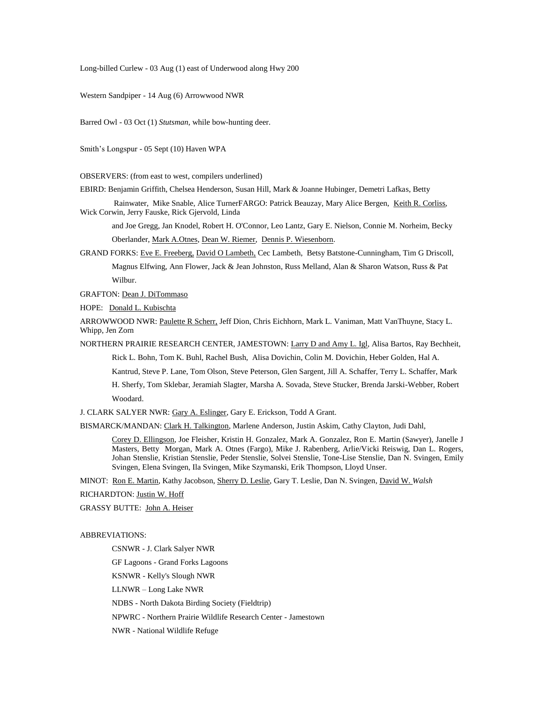Long-billed Curlew - 03 Aug (1) east of Underwood along Hwy 200

Western Sandpiper - 14 Aug (6) Arrowwood NWR

Barred Owl - 03 Oct (1) *Stutsman*, while bow-hunting deer.

Smith's Longspur - 05 Sept (10) Haven WPA

OBSERVERS: (from east to west, compilers underlined)

EBIRD: Benjamin Griffith, Chelsea Henderson, Susan Hill, Mark & Joanne Hubinger, Demetri Lafkas, Betty

Rainwater, Mike Snable, Alice TurnerFARGO: Patrick Beauzay, Mary Alice Bergen, Keith R. Corliss, Wick Corwin, Jerry Fauske, Rick Gjervold, Linda

and Joe Gregg, Jan Knodel, Robert H. O'Connor, Leo Lantz, Gary E. Nielson, Connie M. Norheim, Becky

Oberlander, Mark A.Otnes, Dean W. Riemer, Dennis P. Wiesenborn.

GRAND FORKS: Eve E. Freeberg, David O Lambeth, Cec Lambeth, Betsy Batstone-Cunningham, Tim G Driscoll, Magnus Elfwing, Ann Flower, Jack & Jean Johnston, Russ Melland, Alan & Sharon Watson, Russ & Pat Wilbur.

GRAFTON: Dean J. DiTommaso

HOPE: Donald L. Kubischta

ARROWWOOD NWR: Paulette R Scherr, Jeff Dion, Chris Eichhorn, Mark L. Vaniman, Matt VanThuyne, Stacy L. Whipp, Jen Zorn

NORTHERN PRAIRIE RESEARCH CENTER, JAMESTOWN: Larry D and Amy L. Igl, Alisa Bartos, Ray Bechheit,

Rick L. Bohn, Tom K. Buhl, Rachel Bush, Alisa Dovichin, Colin M. Dovichin, Heber Golden, Hal A.

Kantrud, Steve P. Lane, Tom Olson, Steve Peterson, Glen Sargent, Jill A. Schaffer, Terry L. Schaffer, Mark

H. Sherfy, Tom Sklebar, Jeramiah Slagter, Marsha A. Sovada, Steve Stucker, Brenda Jarski-Webber, Robert Woodard.

J. CLARK SALYER NWR: Gary A. Eslinger, Gary E. Erickson, Todd A Grant.

BISMARCK/MANDAN: Clark H. Talkington, Marlene Anderson, Justin Askim, Cathy Clayton, Judi Dahl,

Corey D. Ellingson, Joe Fleisher, Kristin H. Gonzalez, Mark A. Gonzalez, Ron E. Martin (Sawyer), Janelle J Masters, Betty Morgan, Mark A. Otnes (Fargo), Mike J. Rabenberg, Arlie/Vicki Reiswig, Dan L. Rogers, Johan Stenslie, Kristian Stenslie, Peder Stenslie, Solvei Stenslie, Tone-Lise Stenslie, Dan N. Svingen, Emily Svingen, Elena Svingen, Ila Svingen, Mike Szymanski, Erik Thompson, Lloyd Unser.

MINOT: Ron E. Martin, Kathy Jacobson, Sherry D. Leslie, Gary T. Leslie, Dan N. Svingen, David W. *Walsh*

RICHARDTON: Justin W. Hoff

GRASSY BUTTE: John A. Heiser

#### ABBREVIATIONS:

CSNWR - J. Clark Salyer NWR

GF Lagoons - Grand Forks Lagoons

KSNWR - Kelly's Slough NWR

LLNWR – Long Lake NWR

NDBS - North Dakota Birding Society (Fieldtrip)

NPWRC - Northern Prairie Wildlife Research Center - Jamestown

NWR - National Wildlife Refuge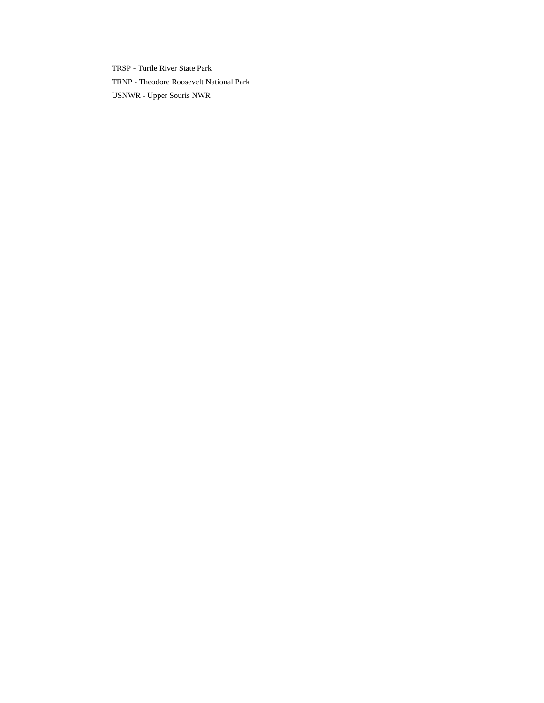TRSP - Turtle River State Park TRNP - Theodore Roosevelt National Park USNWR - Upper Souris NWR